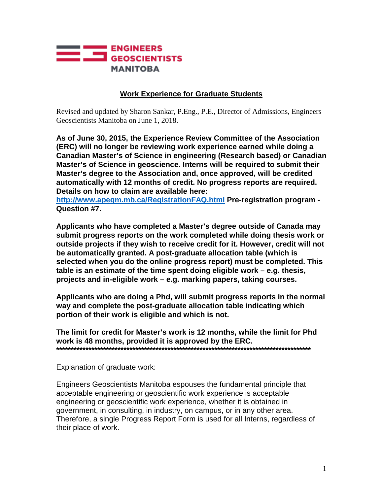

## **Work Experience for Graduate Students**

Revised and updated by Sharon Sankar, P.Eng., P.E., Director of Admissions, Engineers Geoscientists Manitoba on June 1, 2018.

**As of June 30, 2015, the Experience Review Committee of the Association (ERC) will no longer be reviewing work experience earned while doing a Canadian Master's of Science in engineering (Research based) or Canadian Master's of Science in geoscience. Interns will be required to submit their Master's degree to the Association and, once approved, will be credited automatically with 12 months of credit. No progress reports are required. Details on how to claim are available here:** 

**<http://www.apegm.mb.ca/RegistrationFAQ.html> Pre-registration program - Question #7.** 

**Applicants who have completed a Master's degree outside of Canada may submit progress reports on the work completed while doing thesis work or outside projects if they wish to receive credit for it. However, credit will not be automatically granted. A post-graduate allocation table (which is selected when you do the online progress report) must be completed. This table is an estimate of the time spent doing eligible work – e.g. thesis, projects and in-eligible work – e.g. marking papers, taking courses.** 

**Applicants who are doing a Phd, will submit progress reports in the normal way and complete the post-graduate allocation table indicating which portion of their work is eligible and which is not.** 

**The limit for credit for Master's work is 12 months, while the limit for Phd work is 48 months, provided it is approved by the ERC. \*\*\*\*\*\*\*\*\*\*\*\*\*\*\*\*\*\*\*\*\*\*\*\*\*\*\*\*\*\*\*\*\*\*\*\*\*\*\*\*\*\*\*\*\*\*\*\*\*\*\*\*\*\*\*\*\*\*\*\*\*\*\*\*\*\*\*\*\*\*\*\*\*\*\*\*\*\*\*\*\*\*\*\*\*\*\***

Explanation of graduate work:

Engineers Geoscientists Manitoba espouses the fundamental principle that acceptable engineering or geoscientific work experience is acceptable engineering or geoscientific work experience, whether it is obtained in government, in consulting, in industry, on campus, or in any other area. Therefore, a single Progress Report Form is used for all Interns, regardless of their place of work.